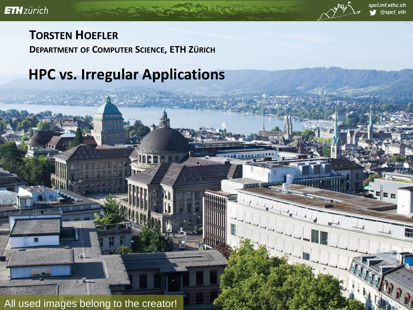

#### **TORSTEN HOEFLER DEPARTMENT OF COMPUTER SCIENCE, ETH ZÜRICH**

#### **HPC vs. Irregular Applications**

All used images belong to the creator!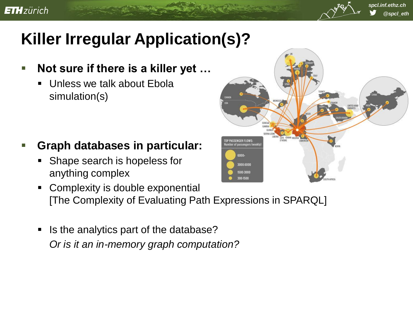

## **Killer Irregular Application(s)?**

- **Not sure if there is a killer yet …**
	- **Unless we talk about Ebola** simulation(s)

- **Graph databases in particular:**
	- Shape search is hopeless for anything complex
	- Complexity is double exponential [The Complexity of Evaluating Path Expressions in SPARQL]
	- Is the analytics part of the database? *Or is it an in-memory graph computation?*

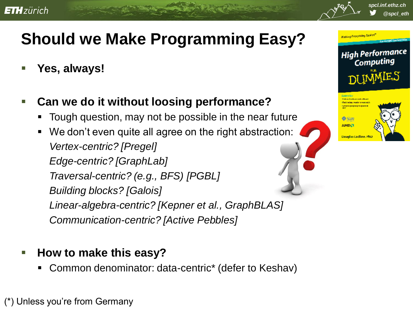

# **Should we Make Programming Easy?**

- **Yes, always!**
- **Can we do it without loosing performance?**
	- Tough question, may not be possible in the near future
	- We don't even quite all agree on the right abstraction: *Vertex-centric? [Pregel] Edge-centric? [GraphLab] Traversal-centric? (e.g., BFS) [PGBL] Building blocks? [Galois] Linear-algebra-centric? [Kepner et al., GraphBLAS] Communication-centric? [Active Pebbles]*

#### **How to make this easy?**

Common denominator: data-centric\* (defer to Keshav)

(\*) Unless you"re from Germany



*@spcl\_eth*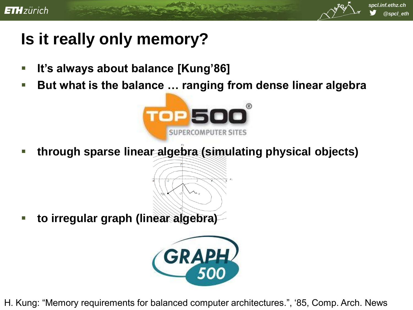

## **Is it really only memory?**

- **It's always about balance [Kung'86]**
- But what is the balance ... ranging from dense linear algebra



**through sparse linear algebra (simulating physical objects)**

**to irregular graph (linear algebra)**



H. Kung: "Memory requirements for balanced computer architectures.", "85, Comp. Arch. News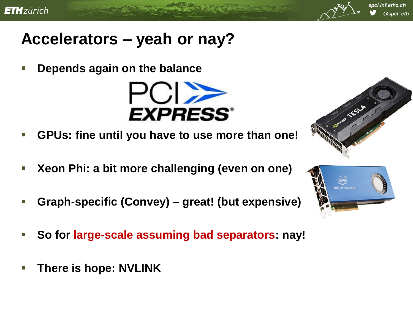

### **Accelerators – yeah or nay?**

**Depends again on the balance**



- **GPUs: fine until you have to use more than one!**
- **Xeon Phi: a bit more challenging (even on one)**
- **Graph-specific (Convey) – great! (but expensive)**
- **So for large-scale assuming bad separators: nay!**
- **There is hope: NVLINK**



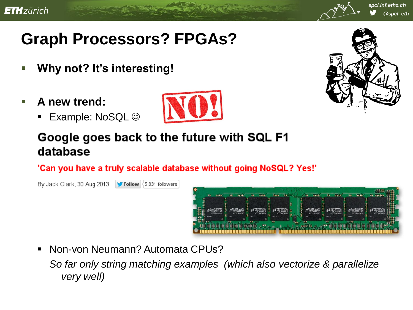

# **Graph Processors? FPGAs?**

- **Why not? It's interesting!**
- **A new trend:**
	- Example: NoSQL  $\odot$





#### Google goes back to the future with SQL F1 database

'Can you have a truly scalable database without going NoSQL? Yes!'

By Jack Clark, 30 Aug 2013 Follow <5,831 followers **Reap (A)** 

Non-von Neumann? Automata CPUs?

*So far only string matching examples (which also vectorize & parallelize very well)*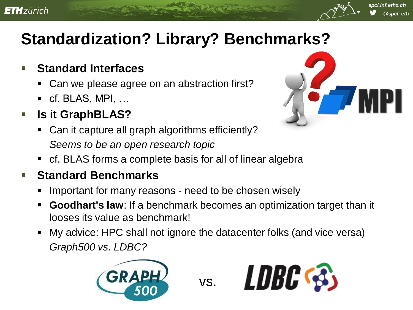

## **Standardization? Library? Benchmarks?**

#### **Standard Interfaces**

- Can we please agree on an abstraction first?
- cf. BLAS, MPI, ...
- **Is it GraphBLAS?** 
	- Can it capture all graph algorithms efficiently? *Seems to be an open research topic*



cf. BLAS forms a complete basis for all of linear algebra

#### **Standard Benchmarks**

- Important for many reasons need to be chosen wisely
- **Goodhart's law**: If a benchmark becomes an optimization target than it looses its value as benchmark!
- My advice: HPC shall not ignore the datacenter folks (and vice versa) *Graph500 vs. LDBC?*



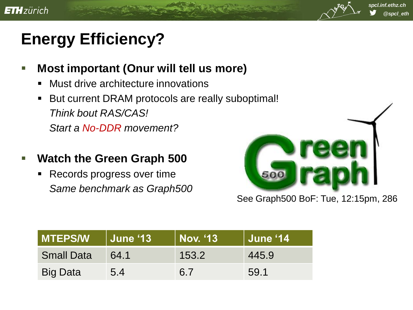

# **Energy Efficiency?**

- **Most important (Onur will tell us more)**
	- Must drive architecture innovations
	- But current DRAM protocols are really suboptimal! *Think bout RAS/CAS! Start a No-DDR movement?*
- **Watch the Green Graph 500**
	- Records progress over time *Same benchmark as Graph500*



#### See Graph500 BoF: Tue, 12:15pm, 286

| <b>MTEPS/W</b>    | <b>June '13</b> | Nov. '13 | June '14 |
|-------------------|-----------------|----------|----------|
| <b>Small Data</b> | 64.1            | 153.2    | 445.9    |
| <b>Big Data</b>   | 5.4             | 6.7      | 59.1     |